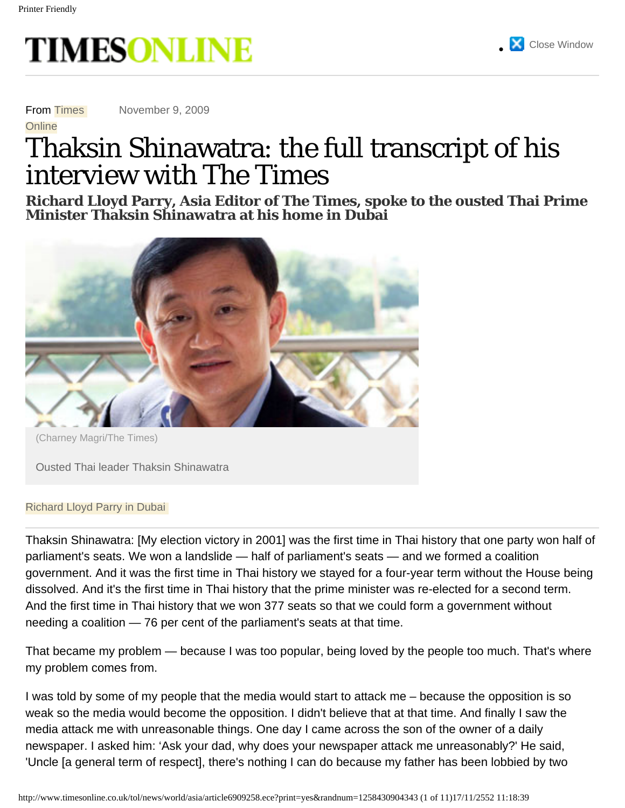<span id="page-0-0"></span>

From Times

**Online** 

November 9, 2009

# Thaksin Shinawatra: the full transcript of his interview with The Times

**Richard Lloyd Parry, Asia Editor of The Times, spoke to the ousted Thai Prime Minister Thaksin Shinawatra at his home in Dubai**

**[Close Window](#page-0-0)** 



(Charney Magri/The Times)

Ousted Thai leader Thaksin Shinawatra

#### Richard Lloyd Parry in Dubai

Thaksin Shinawatra: [My election victory in 2001] was the first time in Thai history that one party won half of parliament's seats. We won a landslide — half of parliament's seats — and we formed a coalition government. And it was the first time in Thai history we stayed for a four-year term without the House being dissolved. And it's the first time in Thai history that the prime minister was re-elected for a second term. And the first time in Thai history that we won 377 seats so that we could form a government without needing a coalition — 76 per cent of the parliament's seats at that time.

That became my problem — because I was too popular, being loved by the people too much. That's where my problem comes from.

I was told by some of my people that the media would start to attack me – because the opposition is so weak so the media would become the opposition. I didn't believe that at that time. And finally I saw the media attack me with unreasonable things. One day I came across the son of the owner of a daily newspaper. I asked him: 'Ask your dad, why does your newspaper attack me unreasonably?' He said, 'Uncle [a general term of respect], there's nothing I can do because my father has been lobbied by two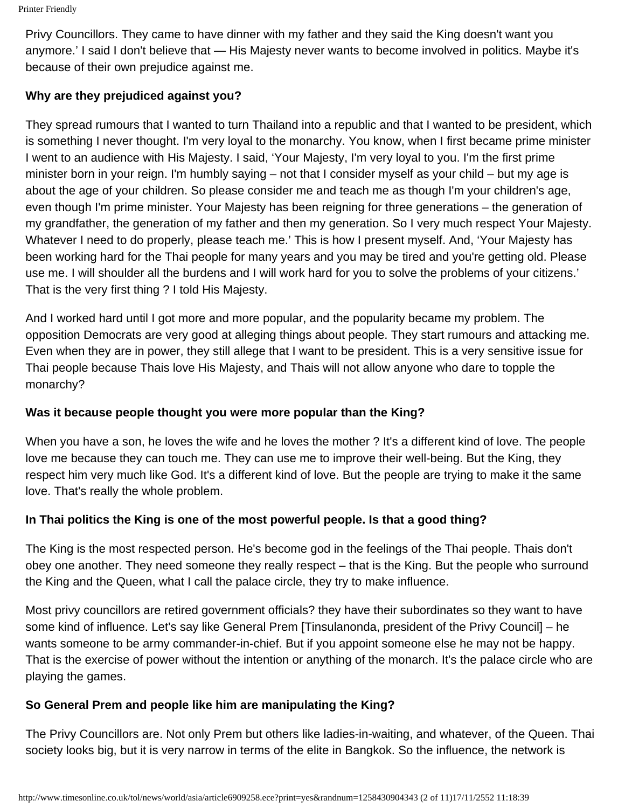Privy Councillors. They came to have dinner with my father and they said the King doesn't want you anymore.' I said I don't believe that — His Majesty never wants to become involved in politics. Maybe it's because of their own prejudice against me.

## **Why are they prejudiced against you?**

They spread rumours that I wanted to turn Thailand into a republic and that I wanted to be president, which is something I never thought. I'm very loyal to the monarchy. You know, when I first became prime minister I went to an audience with His Majesty. I said, 'Your Majesty, I'm very loyal to you. I'm the first prime minister born in your reign. I'm humbly saying – not that I consider myself as your child – but my age is about the age of your children. So please consider me and teach me as though I'm your children's age, even though I'm prime minister. Your Majesty has been reigning for three generations – the generation of my grandfather, the generation of my father and then my generation. So I very much respect Your Majesty. Whatever I need to do properly, please teach me.' This is how I present myself. And, 'Your Majesty has been working hard for the Thai people for many years and you may be tired and you're getting old. Please use me. I will shoulder all the burdens and I will work hard for you to solve the problems of your citizens.' That is the very first thing ? I told His Majesty.

And I worked hard until I got more and more popular, and the popularity became my problem. The opposition Democrats are very good at alleging things about people. They start rumours and attacking me. Even when they are in power, they still allege that I want to be president. This is a very sensitive issue for Thai people because Thais love His Majesty, and Thais will not allow anyone who dare to topple the monarchy?

## **Was it because people thought you were more popular than the King?**

When you have a son, he loves the wife and he loves the mother ? It's a different kind of love. The people love me because they can touch me. They can use me to improve their well-being. But the King, they respect him very much like God. It's a different kind of love. But the people are trying to make it the same love. That's really the whole problem.

## **In Thai politics the King is one of the most powerful people. Is that a good thing?**

The King is the most respected person. He's become god in the feelings of the Thai people. Thais don't obey one another. They need someone they really respect – that is the King. But the people who surround the King and the Queen, what I call the palace circle, they try to make influence.

Most privy councillors are retired government officials? they have their subordinates so they want to have some kind of influence. Let's say like General Prem [Tinsulanonda, president of the Privy Council] – he wants someone to be army commander-in-chief. But if you appoint someone else he may not be happy. That is the exercise of power without the intention or anything of the monarch. It's the palace circle who are playing the games.

## **So General Prem and people like him are manipulating the King?**

The Privy Councillors are. Not only Prem but others like ladies-in-waiting, and whatever, of the Queen. Thai society looks big, but it is very narrow in terms of the elite in Bangkok. So the influence, the network is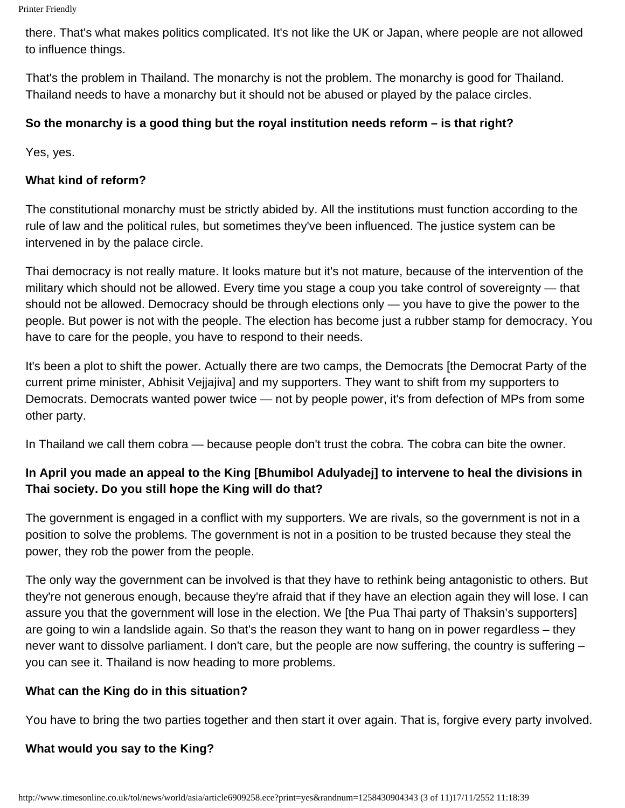Printer Friendly

there. That's what makes politics complicated. It's not like the UK or Japan, where people are not allowed to influence things.

That's the problem in Thailand. The monarchy is not the problem. The monarchy is good for Thailand. Thailand needs to have a monarchy but it should not be abused or played by the palace circles.

#### **So the monarchy is a good thing but the royal institution needs reform – is that right?**

Yes, yes.

#### **What kind of reform?**

The constitutional monarchy must be strictly abided by. All the institutions must function according to the rule of law and the political rules, but sometimes they've been influenced. The justice system can be intervened in by the palace circle.

Thai democracy is not really mature. It looks mature but it's not mature, because of the intervention of the military which should not be allowed. Every time you stage a coup you take control of sovereignty — that should not be allowed. Democracy should be through elections only — you have to give the power to the people. But power is not with the people. The election has become just a rubber stamp for democracy. You have to care for the people, you have to respond to their needs.

It's been a plot to shift the power. Actually there are two camps, the Democrats [the Democrat Party of the current prime minister, Abhisit Vejjajiva] and my supporters. They want to shift from my supporters to Democrats. Democrats wanted power twice — not by people power, it's from defection of MPs from some other party.

In Thailand we call them cobra — because people don't trust the cobra. The cobra can bite the owner.

## **In April you made an appeal to the King [Bhumibol Adulyadej] to intervene to heal the divisions in Thai society. Do you still hope the King will do that?**

The government is engaged in a conflict with my supporters. We are rivals, so the government is not in a position to solve the problems. The government is not in a position to be trusted because they steal the power, they rob the power from the people.

The only way the government can be involved is that they have to rethink being antagonistic to others. But they're not generous enough, because they're afraid that if they have an election again they will lose. I can assure you that the government will lose in the election. We [the Pua Thai party of Thaksin's supporters] are going to win a landslide again. So that's the reason they want to hang on in power regardless – they never want to dissolve parliament. I don't care, but the people are now suffering, the country is suffering – you can see it. Thailand is now heading to more problems.

#### **What can the King do in this situation?**

You have to bring the two parties together and then start it over again. That is, forgive every party involved.

#### **What would you say to the King?**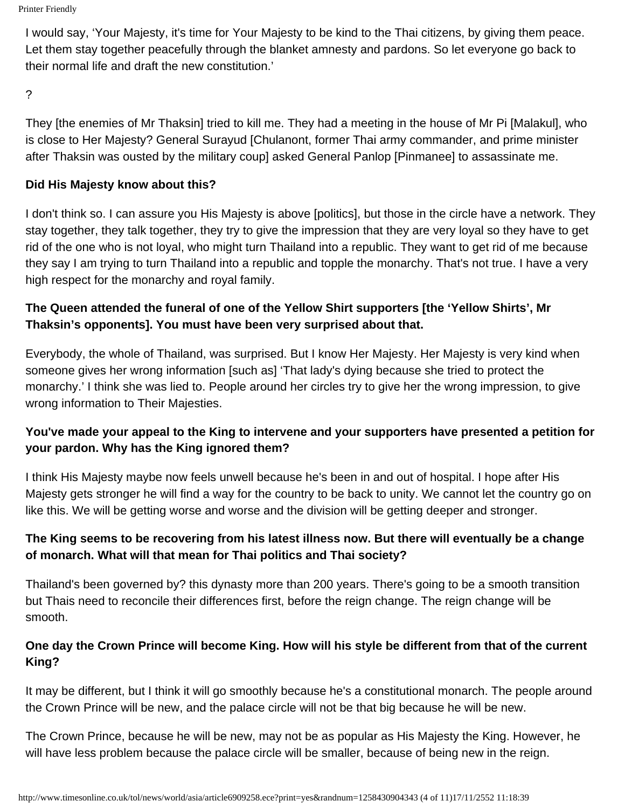```
Printer Friendly
```
I would say, 'Your Majesty, it's time for Your Majesty to be kind to the Thai citizens, by giving them peace. Let them stay together peacefully through the blanket amnesty and pardons. So let everyone go back to their normal life and draft the new constitution.'

?

They [the enemies of Mr Thaksin] tried to kill me. They had a meeting in the house of Mr Pi [Malakul], who is close to Her Majesty? General Surayud [Chulanont, former Thai army commander, and prime minister after Thaksin was ousted by the military coup] asked General Panlop [Pinmanee] to assassinate me.

## **Did His Majesty know about this?**

I don't think so. I can assure you His Majesty is above [politics], but those in the circle have a network. They stay together, they talk together, they try to give the impression that they are very loyal so they have to get rid of the one who is not loyal, who might turn Thailand into a republic. They want to get rid of me because they say I am trying to turn Thailand into a republic and topple the monarchy. That's not true. I have a very high respect for the monarchy and royal family.

# **The Queen attended the funeral of one of the Yellow Shirt supporters [the 'Yellow Shirts', Mr Thaksin's opponents]. You must have been very surprised about that.**

Everybody, the whole of Thailand, was surprised. But I know Her Majesty. Her Majesty is very kind when someone gives her wrong information [such as] 'That lady's dying because she tried to protect the monarchy.' I think she was lied to. People around her circles try to give her the wrong impression, to give wrong information to Their Majesties.

# **You've made your appeal to the King to intervene and your supporters have presented a petition for your pardon. Why has the King ignored them?**

I think His Majesty maybe now feels unwell because he's been in and out of hospital. I hope after His Majesty gets stronger he will find a way for the country to be back to unity. We cannot let the country go on like this. We will be getting worse and worse and the division will be getting deeper and stronger.

# **The King seems to be recovering from his latest illness now. But there will eventually be a change of monarch. What will that mean for Thai politics and Thai society?**

Thailand's been governed by? this dynasty more than 200 years. There's going to be a smooth transition but Thais need to reconcile their differences first, before the reign change. The reign change will be smooth.

# **One day the Crown Prince will become King. How will his style be different from that of the current King?**

It may be different, but I think it will go smoothly because he's a constitutional monarch. The people around the Crown Prince will be new, and the palace circle will not be that big because he will be new.

The Crown Prince, because he will be new, may not be as popular as His Majesty the King. However, he will have less problem because the palace circle will be smaller, because of being new in the reign.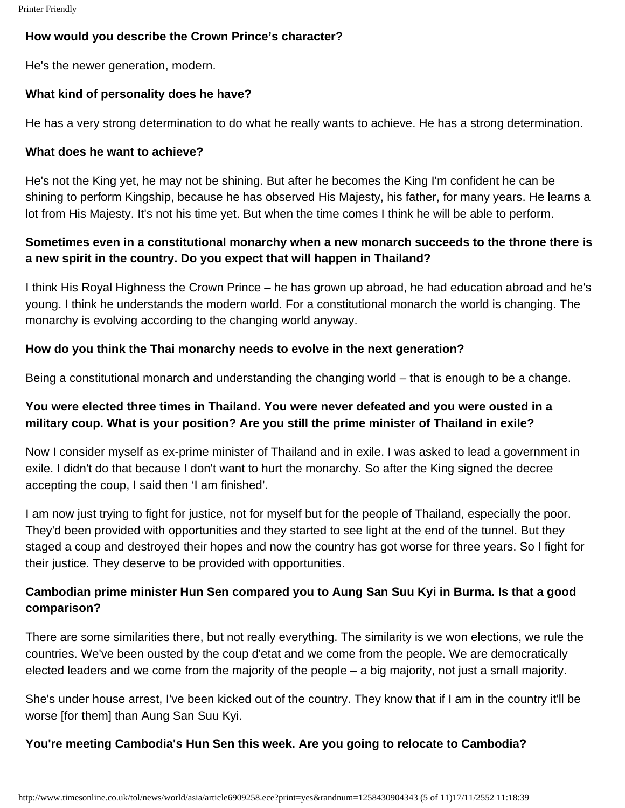#### **How would you describe the Crown Prince's character?**

He's the newer generation, modern.

#### **What kind of personality does he have?**

He has a very strong determination to do what he really wants to achieve. He has a strong determination.

#### **What does he want to achieve?**

He's not the King yet, he may not be shining. But after he becomes the King I'm confident he can be shining to perform Kingship, because he has observed His Majesty, his father, for many years. He learns a lot from His Majesty. It's not his time yet. But when the time comes I think he will be able to perform.

## **Sometimes even in a constitutional monarchy when a new monarch succeeds to the throne there is a new spirit in the country. Do you expect that will happen in Thailand?**

I think His Royal Highness the Crown Prince – he has grown up abroad, he had education abroad and he's young. I think he understands the modern world. For a constitutional monarch the world is changing. The monarchy is evolving according to the changing world anyway.

#### **How do you think the Thai monarchy needs to evolve in the next generation?**

Being a constitutional monarch and understanding the changing world – that is enough to be a change.

## **You were elected three times in Thailand. You were never defeated and you were ousted in a military coup. What is your position? Are you still the prime minister of Thailand in exile?**

Now I consider myself as ex-prime minister of Thailand and in exile. I was asked to lead a government in exile. I didn't do that because I don't want to hurt the monarchy. So after the King signed the decree accepting the coup, I said then 'I am finished'.

I am now just trying to fight for justice, not for myself but for the people of Thailand, especially the poor. They'd been provided with opportunities and they started to see light at the end of the tunnel. But they staged a coup and destroyed their hopes and now the country has got worse for three years. So I fight for their justice. They deserve to be provided with opportunities.

## **Cambodian prime minister Hun Sen compared you to Aung San Suu Kyi in Burma. Is that a good comparison?**

There are some similarities there, but not really everything. The similarity is we won elections, we rule the countries. We've been ousted by the coup d'etat and we come from the people. We are democratically elected leaders and we come from the majority of the people – a big majority, not just a small majority.

She's under house arrest, I've been kicked out of the country. They know that if I am in the country it'll be worse [for them] than Aung San Suu Kyi.

#### **You're meeting Cambodia's Hun Sen this week. Are you going to relocate to Cambodia?**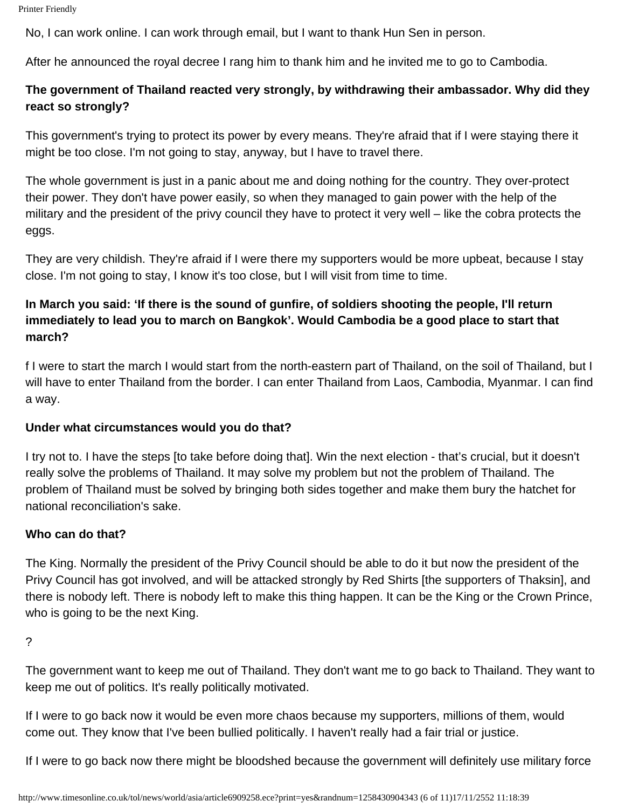No, I can work online. I can work through email, but I want to thank Hun Sen in person.

After he announced the royal decree I rang him to thank him and he invited me to go to Cambodia.

## **The government of Thailand reacted very strongly, by withdrawing their ambassador. Why did they react so strongly?**

This government's trying to protect its power by every means. They're afraid that if I were staying there it might be too close. I'm not going to stay, anyway, but I have to travel there.

The whole government is just in a panic about me and doing nothing for the country. They over-protect their power. They don't have power easily, so when they managed to gain power with the help of the military and the president of the privy council they have to protect it very well – like the cobra protects the eggs.

They are very childish. They're afraid if I were there my supporters would be more upbeat, because I stay close. I'm not going to stay, I know it's too close, but I will visit from time to time.

# **In March you said: 'If there is the sound of gunfire, of soldiers shooting the people, I'll return immediately to lead you to march on Bangkok'. Would Cambodia be a good place to start that march?**

f I were to start the march I would start from the north-eastern part of Thailand, on the soil of Thailand, but I will have to enter Thailand from the border. I can enter Thailand from Laos, Cambodia, Myanmar. I can find a way.

## **Under what circumstances would you do that?**

I try not to. I have the steps [to take before doing that]. Win the next election - that's crucial, but it doesn't really solve the problems of Thailand. It may solve my problem but not the problem of Thailand. The problem of Thailand must be solved by bringing both sides together and make them bury the hatchet for national reconciliation's sake.

## **Who can do that?**

The King. Normally the president of the Privy Council should be able to do it but now the president of the Privy Council has got involved, and will be attacked strongly by Red Shirts [the supporters of Thaksin], and there is nobody left. There is nobody left to make this thing happen. It can be the King or the Crown Prince, who is going to be the next King.

The government want to keep me out of Thailand. They don't want me to go back to Thailand. They want to keep me out of politics. It's really politically motivated.

If I were to go back now it would be even more chaos because my supporters, millions of them, would come out. They know that I've been bullied politically. I haven't really had a fair trial or justice.

If I were to go back now there might be bloodshed because the government will definitely use military force

<sup>?</sup>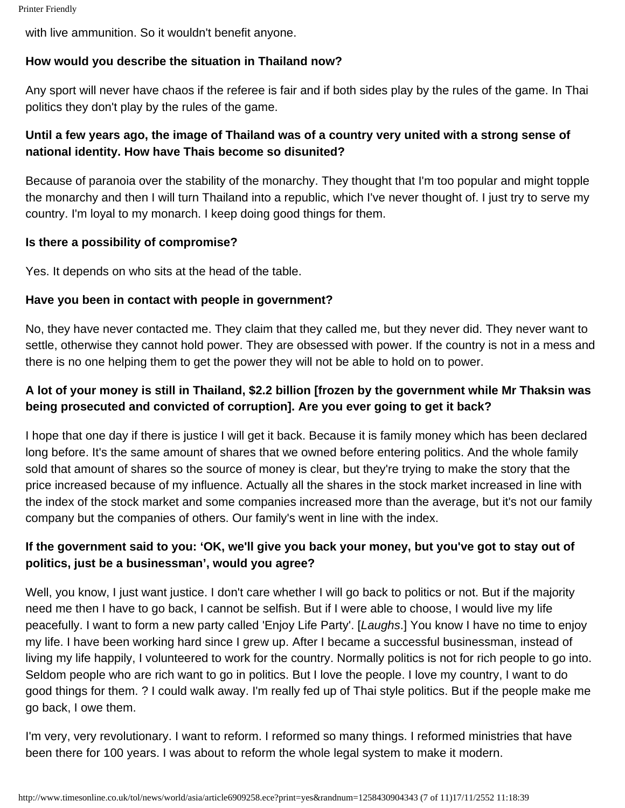with live ammunition. So it wouldn't benefit anyone.

## **How would you describe the situation in Thailand now?**

Any sport will never have chaos if the referee is fair and if both sides play by the rules of the game. In Thai politics they don't play by the rules of the game.

## **Until a few years ago, the image of Thailand was of a country very united with a strong sense of national identity. How have Thais become so disunited?**

Because of paranoia over the stability of the monarchy. They thought that I'm too popular and might topple the monarchy and then I will turn Thailand into a republic, which I've never thought of. I just try to serve my country. I'm loyal to my monarch. I keep doing good things for them.

#### **Is there a possibility of compromise?**

Yes. It depends on who sits at the head of the table.

#### **Have you been in contact with people in government?**

No, they have never contacted me. They claim that they called me, but they never did. They never want to settle, otherwise they cannot hold power. They are obsessed with power. If the country is not in a mess and there is no one helping them to get the power they will not be able to hold on to power.

## **A lot of your money is still in Thailand, \$2.2 billion [frozen by the government while Mr Thaksin was being prosecuted and convicted of corruption]. Are you ever going to get it back?**

I hope that one day if there is justice I will get it back. Because it is family money which has been declared long before. It's the same amount of shares that we owned before entering politics. And the whole family sold that amount of shares so the source of money is clear, but they're trying to make the story that the price increased because of my influence. Actually all the shares in the stock market increased in line with the index of the stock market and some companies increased more than the average, but it's not our family company but the companies of others. Our family's went in line with the index.

## **If the government said to you: 'OK, we'll give you back your money, but you've got to stay out of politics, just be a businessman', would you agree?**

Well, you know, I just want justice. I don't care whether I will go back to politics or not. But if the majority need me then I have to go back, I cannot be selfish. But if I were able to choose, I would live my life peacefully. I want to form a new party called 'Enjoy Life Party'. [*Laughs*.] You know I have no time to enjoy my life. I have been working hard since I grew up. After I became a successful businessman, instead of living my life happily, I volunteered to work for the country. Normally politics is not for rich people to go into. Seldom people who are rich want to go in politics. But I love the people. I love my country, I want to do good things for them. ? I could walk away. I'm really fed up of Thai style politics. But if the people make me go back, I owe them.

I'm very, very revolutionary. I want to reform. I reformed so many things. I reformed ministries that have been there for 100 years. I was about to reform the whole legal system to make it modern.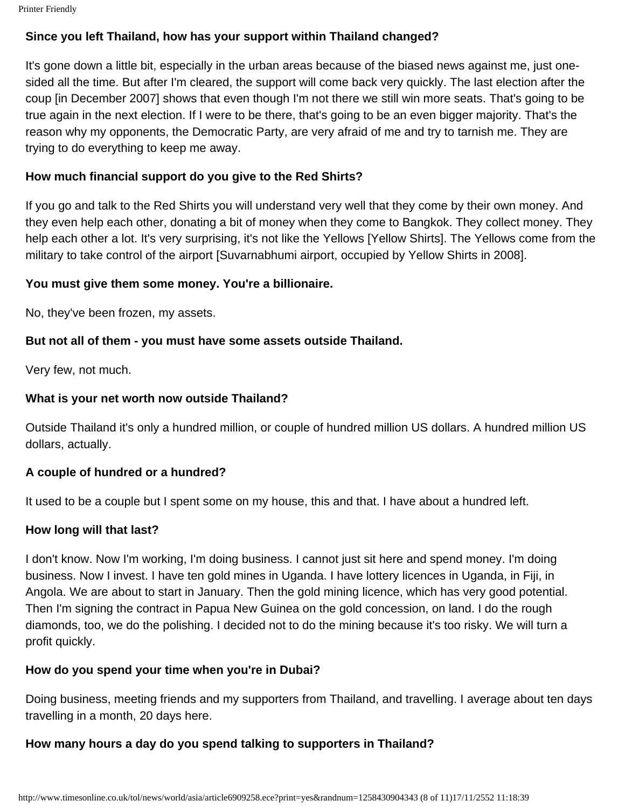#### **Since you left Thailand, how has your support within Thailand changed?**

It's gone down a little bit, especially in the urban areas because of the biased news against me, just onesided all the time. But after I'm cleared, the support will come back very quickly. The last election after the coup [in December 2007] shows that even though I'm not there we still win more seats. That's going to be true again in the next election. If I were to be there, that's going to be an even bigger majority. That's the reason why my opponents, the Democratic Party, are very afraid of me and try to tarnish me. They are trying to do everything to keep me away.

#### **How much financial support do you give to the Red Shirts?**

If you go and talk to the Red Shirts you will understand very well that they come by their own money. And they even help each other, donating a bit of money when they come to Bangkok. They collect money. They help each other a lot. It's very surprising, it's not like the Yellows [Yellow Shirts]. The Yellows come from the military to take control of the airport [Suvarnabhumi airport, occupied by Yellow Shirts in 2008].

#### **You must give them some money. You're a billionaire.**

No, they've been frozen, my assets.

#### **But not all of them - you must have some assets outside Thailand.**

Very few, not much.

#### **What is your net worth now outside Thailand?**

Outside Thailand it's only a hundred million, or couple of hundred million US dollars. A hundred million US dollars, actually.

#### **A couple of hundred or a hundred?**

It used to be a couple but I spent some on my house, this and that. I have about a hundred left.

#### **How long will that last?**

I don't know. Now I'm working, I'm doing business. I cannot just sit here and spend money. I'm doing business. Now I invest. I have ten gold mines in Uganda. I have lottery licences in Uganda, in Fiji, in Angola. We are about to start in January. Then the gold mining licence, which has very good potential. Then I'm signing the contract in Papua New Guinea on the gold concession, on land. I do the rough diamonds, too, we do the polishing. I decided not to do the mining because it's too risky. We will turn a profit quickly.

#### **How do you spend your time when you're in Dubai?**

Doing business, meeting friends and my supporters from Thailand, and travelling. I average about ten days travelling in a month, 20 days here.

## **How many hours a day do you spend talking to supporters in Thailand?**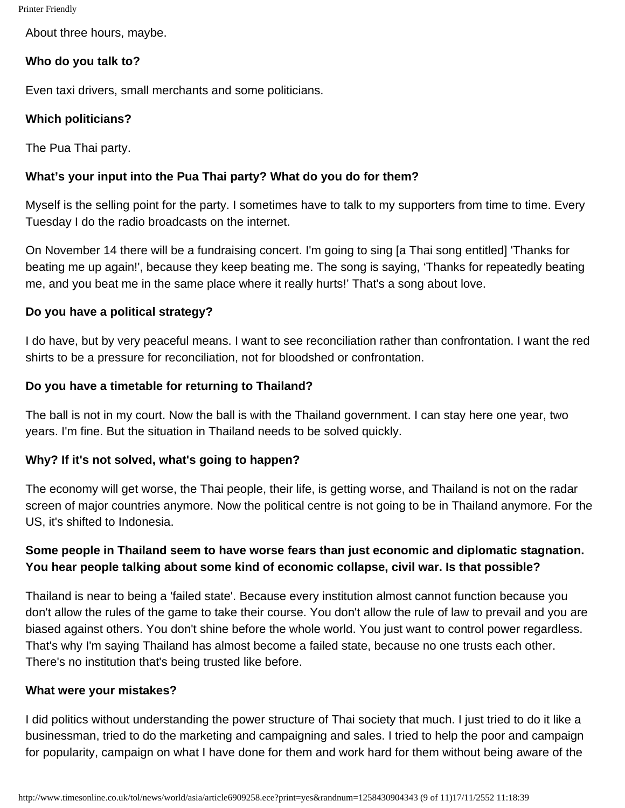Printer Friendly

About three hours, maybe.

## **Who do you talk to?**

Even taxi drivers, small merchants and some politicians.

#### **Which politicians?**

The Pua Thai party.

## **What's your input into the Pua Thai party? What do you do for them?**

Myself is the selling point for the party. I sometimes have to talk to my supporters from time to time. Every Tuesday I do the radio broadcasts on the internet.

On November 14 there will be a fundraising concert. I'm going to sing [a Thai song entitled] 'Thanks for beating me up again!', because they keep beating me. The song is saying, 'Thanks for repeatedly beating me, and you beat me in the same place where it really hurts!' That's a song about love.

#### **Do you have a political strategy?**

I do have, but by very peaceful means. I want to see reconciliation rather than confrontation. I want the red shirts to be a pressure for reconciliation, not for bloodshed or confrontation.

#### **Do you have a timetable for returning to Thailand?**

The ball is not in my court. Now the ball is with the Thailand government. I can stay here one year, two years. I'm fine. But the situation in Thailand needs to be solved quickly.

## **Why? If it's not solved, what's going to happen?**

The economy will get worse, the Thai people, their life, is getting worse, and Thailand is not on the radar screen of major countries anymore. Now the political centre is not going to be in Thailand anymore. For the US, it's shifted to Indonesia.

## **Some people in Thailand seem to have worse fears than just economic and diplomatic stagnation. You hear people talking about some kind of economic collapse, civil war. Is that possible?**

Thailand is near to being a 'failed state'. Because every institution almost cannot function because you don't allow the rules of the game to take their course. You don't allow the rule of law to prevail and you are biased against others. You don't shine before the whole world. You just want to control power regardless. That's why I'm saying Thailand has almost become a failed state, because no one trusts each other. There's no institution that's being trusted like before.

#### **What were your mistakes?**

I did politics without understanding the power structure of Thai society that much. I just tried to do it like a businessman, tried to do the marketing and campaigning and sales. I tried to help the poor and campaign for popularity, campaign on what I have done for them and work hard for them without being aware of the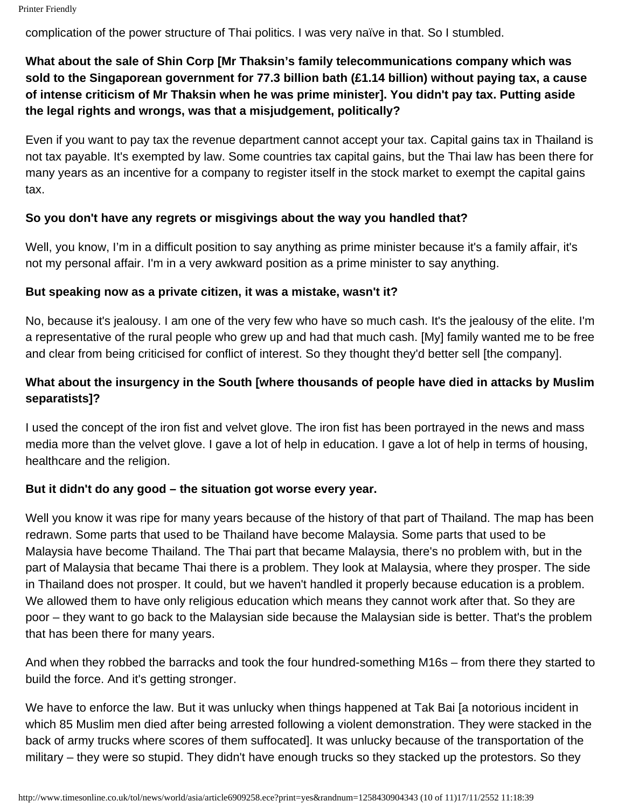complication of the power structure of Thai politics. I was very naïve in that. So I stumbled.

# **What about the sale of Shin Corp [Mr Thaksin's family telecommunications company which was sold to the Singaporean government for 77.3 billion bath (£1.14 billion) without paying tax, a cause of intense criticism of Mr Thaksin when he was prime minister]. You didn't pay tax. Putting aside the legal rights and wrongs, was that a misjudgement, politically?**

Even if you want to pay tax the revenue department cannot accept your tax. Capital gains tax in Thailand is not tax payable. It's exempted by law. Some countries tax capital gains, but the Thai law has been there for many years as an incentive for a company to register itself in the stock market to exempt the capital gains tax.

#### **So you don't have any regrets or misgivings about the way you handled that?**

Well, you know, I'm in a difficult position to say anything as prime minister because it's a family affair, it's not my personal affair. I'm in a very awkward position as a prime minister to say anything.

#### **But speaking now as a private citizen, it was a mistake, wasn't it?**

No, because it's jealousy. I am one of the very few who have so much cash. It's the jealousy of the elite. I'm a representative of the rural people who grew up and had that much cash. [My] family wanted me to be free and clear from being criticised for conflict of interest. So they thought they'd better sell [the company].

## **What about the insurgency in the South [where thousands of people have died in attacks by Muslim separatists]?**

I used the concept of the iron fist and velvet glove. The iron fist has been portrayed in the news and mass media more than the velvet glove. I gave a lot of help in education. I gave a lot of help in terms of housing, healthcare and the religion.

#### **But it didn't do any good – the situation got worse every year.**

Well you know it was ripe for many years because of the history of that part of Thailand. The map has been redrawn. Some parts that used to be Thailand have become Malaysia. Some parts that used to be Malaysia have become Thailand. The Thai part that became Malaysia, there's no problem with, but in the part of Malaysia that became Thai there is a problem. They look at Malaysia, where they prosper. The side in Thailand does not prosper. It could, but we haven't handled it properly because education is a problem. We allowed them to have only religious education which means they cannot work after that. So they are poor – they want to go back to the Malaysian side because the Malaysian side is better. That's the problem that has been there for many years.

And when they robbed the barracks and took the four hundred-something M16s – from there they started to build the force. And it's getting stronger.

We have to enforce the law. But it was unlucky when things happened at Tak Bai [a notorious incident in which 85 Muslim men died after being arrested following a violent demonstration. They were stacked in the back of army trucks where scores of them suffocated]. It was unlucky because of the transportation of the military – they were so stupid. They didn't have enough trucks so they stacked up the protestors. So they